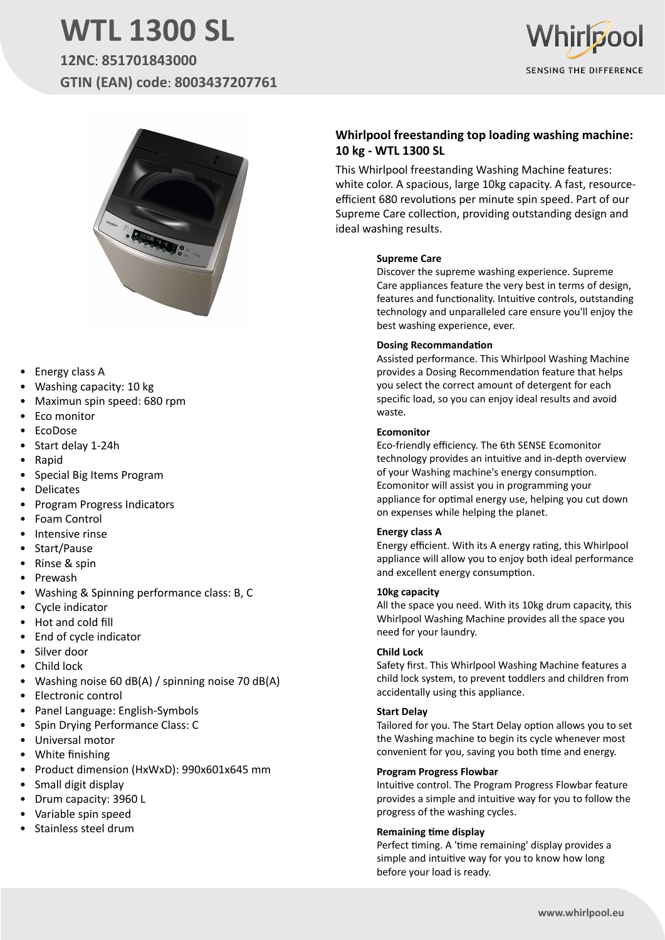# **WTL 1300 SL**

**12NC**: **851701843000 GTIN (EAN) code**: **8003437207761**





- Energy class A
- Washing capacity: 10 kg
- Maximun spin speed: 680 rpm
- Eco monitor
- EcoDose
- Start delay 1-24h
- Rapid
- Special Big Items Program
- **Delicates**
- Program Progress Indicators
- Foam Control
- Intensive rinse
- Start/Pause
- Rinse & spin
- Prewash
- Washing & Spinning performance class: B, C
- Cycle indicator
- Hot and cold fill
- End of cycle indicator
- Silver door
- Child lock
- Washing noise 60 dB(A) / spinning noise 70 dB(A)
- Electronic control
- Panel Language: English-Symbols
- Spin Drying Performance Class: C
- Universal motor
- White finishing
- Product dimension (HxWxD): 990x601x645 mm
- Small digit display
- Drum capacity: 3960 L
- Variable spin speed
- Stainless steel drum

## **Whirlpool freestanding top loading washing machine: 10 kg - WTL 1300 SL**

This Whirlpool freestanding Washing Machine features: white color. A spacious, large 10kg capacity. A fast, resourceefficient 680 revolutions per minute spin speed. Part of our Supreme Care collection, providing outstanding design and ideal washing results.

#### **Supreme Care**

Discover the supreme washing experience. Supreme Care appliances feature the very best in terms of design, features and functionality. Intuitive controls, outstanding technology and unparalleled care ensure you'll enjoy the best washing experience, ever.

#### **Dosing Recommandation**

Assisted performance. This Whirlpool Washing Machine provides a Dosing Recommendation feature that helps you select the correct amount of detergent for each specific load, so you can enjoy ideal results and avoid waste.

#### **Ecomonitor**

Eco-friendly efficiency. The 6th SENSE Ecomonitor technology provides an intuitive and in-depth overview of your Washing machine's energy consumption. Ecomonitor will assist you in programming your appliance for optimal energy use, helping you cut down on expenses while helping the planet.

#### **Energy class A**

Energy efficient. With its A energy rating, this Whirlpool appliance will allow you to enjoy both ideal performance and excellent energy consumption.

#### **10kg capacity**

All the space you need. With its 10kg drum capacity, this Whirlpool Washing Machine provides all the space you need for your laundry.

#### **Child Lock**

Safety first. This Whirlpool Washing Machine features a child lock system, to prevent toddlers and children from accidentally using this appliance.

#### **Start Delay**

Tailored for you. The Start Delay option allows you to set the Washing machine to begin its cycle whenever most convenient for you, saving you both time and energy.

#### **Program Progress Flowbar**

Intuitive control. The Program Progress Flowbar feature provides a simple and intuitive way for you to follow the progress of the washing cycles.

#### **Remaining time display**

Perfect timing. A 'time remaining' display provides a simple and intuitive way for you to know how long before your load is ready.